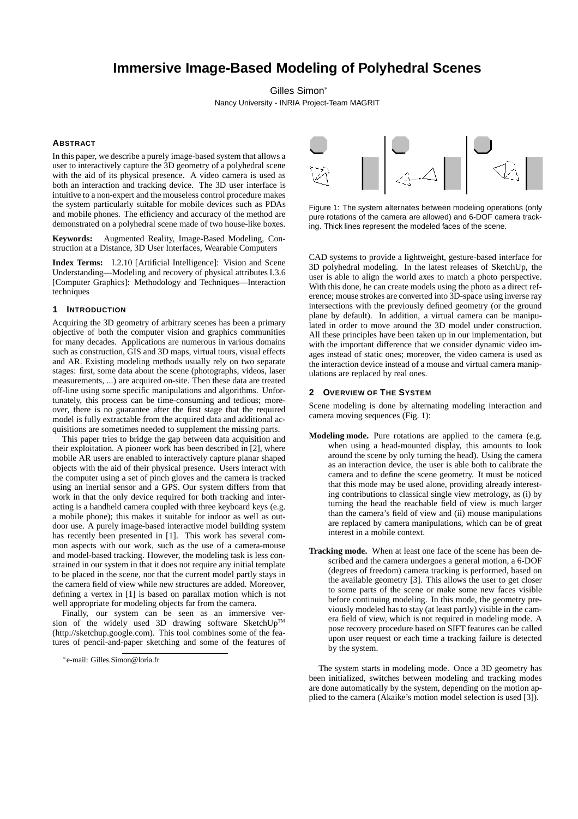# **Immersive Image-Based Modeling of Polyhedral Scenes**

Gilles Simon<sup>∗</sup> Nancy University - INRIA Project-Team MAGRIT

## **ABSTRACT**

In this paper, we describe a purely image-based system that allows a user to interactively capture the 3D geometry of a polyhedral scene with the aid of its physical presence. A video camera is used as both an interaction and tracking device. The 3D user interface is intuitive to a non-expert and the mouseless control procedure makes the system particularly suitable for mobile devices such as PDAs and mobile phones. The efficiency and accuracy of the method are demonstrated on a polyhedral scene made of two house-like boxes.

**Keywords:** Augmented Reality, Image-Based Modeling, Construction at a Distance, 3D User Interfaces, Wearable Computers

**Index Terms:** I.2.10 [Artificial Intelligence]: Vision and Scene Understanding—Modeling and recovery of physical attributes I.3.6 [Computer Graphics]: Methodology and Techniques—Interaction techniques

#### **1 INTRODUCTION**

Acquiring the 3D geometry of arbitrary scenes has been a primary objective of both the computer vision and graphics communities for many decades. Applications are numerous in various domains such as construction, GIS and 3D maps, virtual tours, visual effects and AR. Existing modeling methods usually rely on two separate stages: first, some data about the scene (photographs, videos, laser measurements, ...) are acquired on-site. Then these data are treated off-line using some specific manipulations and algorithms. Unfortunately, this process can be time-consuming and tedious; moreover, there is no guarantee after the first stage that the required model is fully extractable from the acquired data and additional acquisitions are sometimes needed to supplement the missing parts.

This paper tries to bridge the gap between data acquisition and their exploitation. A pioneer work has been described in [2], where mobile AR users are enabled to interactively capture planar shaped objects with the aid of their physical presence. Users interact with the computer using a set of pinch gloves and the camera is tracked using an inertial sensor and a GPS. Our system differs from that work in that the only device required for both tracking and interacting is a handheld camera coupled with three keyboard keys (e.g. a mobile phone); this makes it suitable for indoor as well as outdoor use. A purely image-based interactive model building system has recently been presented in [1]. This work has several common aspects with our work, such as the use of a camera-mouse and model-based tracking. However, the modeling task is less constrained in our system in that it does not require any initial template to be placed in the scene, nor that the current model partly stays in the camera field of view while new structures are added. Moreover, defining a vertex in [1] is based on parallax motion which is not well appropriate for modeling objects far from the camera.

Finally, our system can be seen as an immersive version of the widely used 3D drawing software SketchUp<sup>TM</sup> (http://sketchup.google.com). This tool combines some of the features of pencil-and-paper sketching and some of the features of



Figure 1: The system alternates between modeling operations (only pure rotations of the camera are allowed) and 6-DOF camera tracking. Thick lines represent the modeled faces of the scene.

CAD systems to provide a lightweight, gesture-based interface for 3D polyhedral modeling. In the latest releases of SketchUp, the user is able to align the world axes to match a photo perspective. With this done, he can create models using the photo as a direct reference; mouse strokes are converted into 3D-space using inverse ray intersections with the previously defined geometry (or the ground plane by default). In addition, a virtual camera can be manipulated in order to move around the 3D model under construction. All these principles have been taken up in our implementation, but with the important difference that we consider dynamic video images instead of static ones; moreover, the video camera is used as the interaction device instead of a mouse and virtual camera manipulations are replaced by real ones.

#### **2 OVERVIEW OF THE SYSTEM**

Scene modeling is done by alternating modeling interaction and camera moving sequences (Fig. 1):

- **Modeling mode.** Pure rotations are applied to the camera (e.g. when using a head-mounted display, this amounts to look around the scene by only turning the head). Using the camera as an interaction device, the user is able both to calibrate the camera and to define the scene geometry. It must be noticed that this mode may be used alone, providing already interesting contributions to classical single view metrology, as (i) by turning the head the reachable field of view is much larger than the camera's field of view and (ii) mouse manipulations are replaced by camera manipulations, which can be of great interest in a mobile context.
- **Tracking mode.** When at least one face of the scene has been described and the camera undergoes a general motion, a 6-DOF (degrees of freedom) camera tracking is performed, based on the available geometry [3]. This allows the user to get closer to some parts of the scene or make some new faces visible before continuing modeling. In this mode, the geometry previously modeled has to stay (at least partly) visible in the camera field of view, which is not required in modeling mode. A pose recovery procedure based on SIFT features can be called upon user request or each time a tracking failure is detected by the system.

The system starts in modeling mode. Once a 3D geometry has been initialized, switches between modeling and tracking modes are done automatically by the system, depending on the motion applied to the camera (Akaike's motion model selection is used [3]).

<sup>∗</sup> e-mail: Gilles.Simon@loria.fr